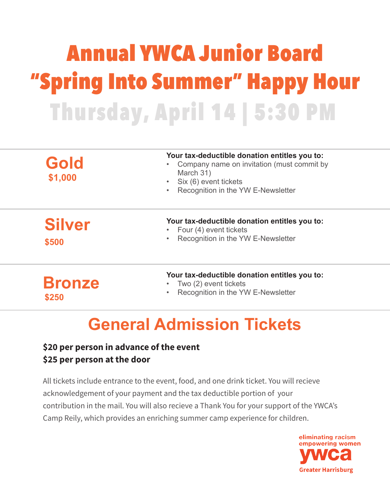# Annual YWCA Junior Board "Spring Into Summer" Happy Hour Thursday, April 14 | 5:30 PM

| Gold<br>\$1,000        | Your tax-deductible donation entitles you to:<br>Company name on invitation (must commit by<br>March 31)<br>Six (6) event tickets<br>$\bullet$<br>Recognition in the YW E-Newsletter<br>$\bullet$ |
|------------------------|---------------------------------------------------------------------------------------------------------------------------------------------------------------------------------------------------|
| <b>Silver</b><br>\$500 | Your tax-deductible donation entitles you to:<br>Four (4) event tickets<br>$\bullet$<br>Recognition in the YW E-Newsletter<br>$\bullet$                                                           |
|                        | Your tax-deductible donation entitles you to:<br>Two (2) event tickets                                                                                                                            |

- Two (2) event tickets
	- Recognition in the YW E-Newsletter

### **General Admission Tickets**

#### **\$20 per person in advance of the event \$25 per person at the door**

**\$250**

All tickets include entrance to the event, food, and one drink ticket. You will recieve acknowledgement of your payment and the tax deductible portion of your contribution in the mail. You will also recieve a Thank You for your support of the YWCA's Camp Reily, which provides an enriching summer camp experience for children.